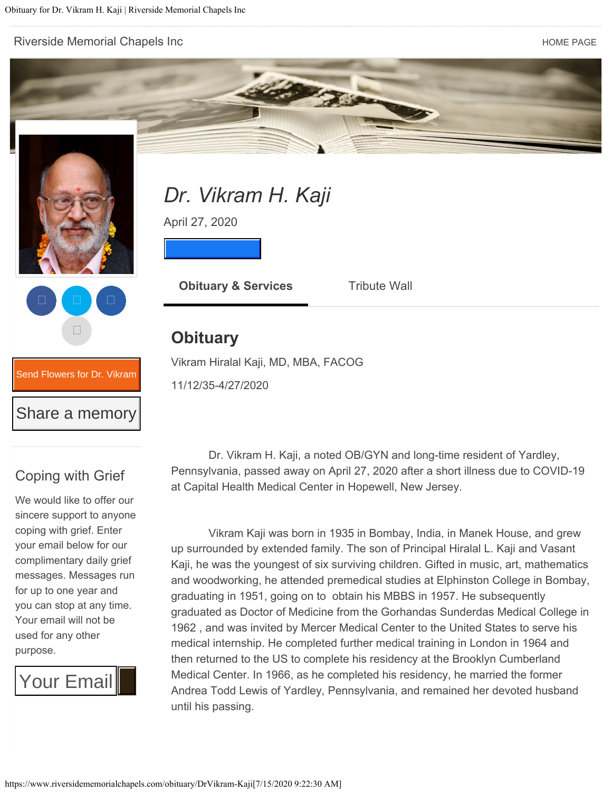[Riverside Memorial Chapels Inc](https://www.riversidememorialchapels.com/) **Home Page 19th Chapels** Inc



11/12/35-4/27/2020

## Coping with Grief

[Send Flowers for Dr. Vik](https://www.riversidememorialchapels.com/obituary/DrVikram-Kaji/sympathy) Send Flowers for Dr. Vikram

Share a memory Share a memory

We would like to offer our sincere support to anyone coping with grief. Enter your email below for our complimentary daily grief messages. Messages run for up to one year and you can stop at any time. Your email will not be used for any other purpose.

Your Email

 Dr. Vikram H. Kaji, a noted OB/GYN and long-time resident of Yardley, Pennsylvania, passed away on April 27, 2020 after a short illness due to COVID-19 at Capital Health Medical Center in Hopewell, New Jersey.

 Vikram Kaji was born in 1935 in Bombay, India, in Manek House, and grew up surrounded by extended family. The son of Principal Hiralal L. Kaji and Vasant Kaji, he was the youngest of six surviving children. Gifted in music, art, mathematics and woodworking, he attended premedical studies at Elphinston College in Bombay, graduating in 1951, going on to obtain his MBBS in 1957. He subsequently graduated as Doctor of Medicine from the Gorhandas Sunderdas Medical College in 1962 , and was invited by Mercer Medical Center to the United States to serve his medical internship. He completed further medical training in London in 1964 and then returned to the US to complete his residency at the Brooklyn Cumberland Medical Center. In 1966, as he completed his residency, he married the former Andrea Todd Lewis of Yardley, Pennsylvania, and remained her devoted husband until his passing.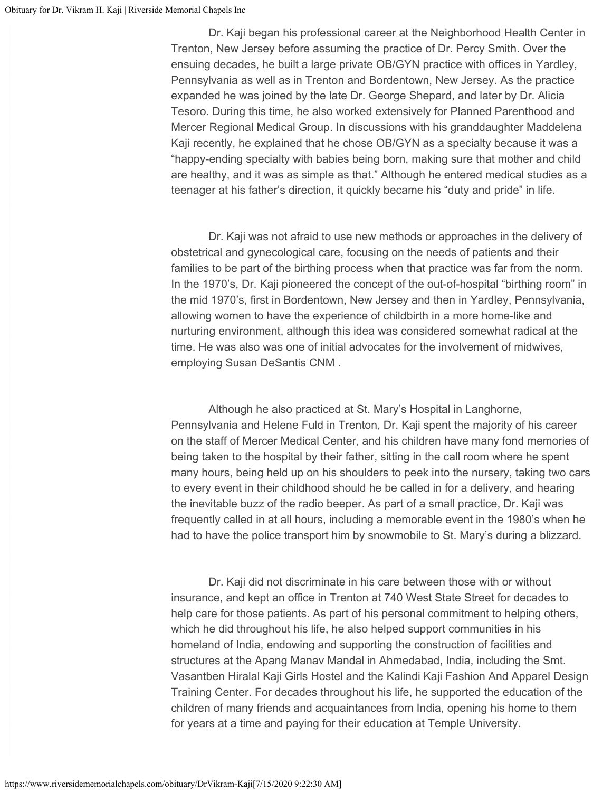Dr. Kaji began his professional career at the Neighborhood Health Center in Trenton, New Jersey before assuming the practice of Dr. Percy Smith. Over the ensuing decades, he built a large private OB/GYN practice with offices in Yardley, Pennsylvania as well as in Trenton and Bordentown, New Jersey. As the practice expanded he was joined by the late Dr. George Shepard, and later by Dr. Alicia Tesoro. During this time, he also worked extensively for Planned Parenthood and Mercer Regional Medical Group. In discussions with his granddaughter Maddelena Kaji recently, he explained that he chose OB/GYN as a specialty because it was a "happy-ending specialty with babies being born, making sure that mother and child are healthy, and it was as simple as that." Although he entered medical studies as a teenager at his father's direction, it quickly became his "duty and pride" in life.

 Dr. Kaji was not afraid to use new methods or approaches in the delivery of obstetrical and gynecological care, focusing on the needs of patients and their families to be part of the birthing process when that practice was far from the norm. In the 1970's, Dr. Kaji pioneered the concept of the out-of-hospital "birthing room" in the mid 1970's, first in Bordentown, New Jersey and then in Yardley, Pennsylvania, allowing women to have the experience of childbirth in a more home-like and nurturing environment, although this idea was considered somewhat radical at the time. He was also was one of initial advocates for the involvement of midwives, employing Susan DeSantis CNM .

 Although he also practiced at St. Mary's Hospital in Langhorne, Pennsylvania and Helene Fuld in Trenton, Dr. Kaji spent the majority of his career on the staff of Mercer Medical Center, and his children have many fond memories of being taken to the hospital by their father, sitting in the call room where he spent many hours, being held up on his shoulders to peek into the nursery, taking two cars to every event in their childhood should he be called in for a delivery, and hearing the inevitable buzz of the radio beeper. As part of a small practice, Dr. Kaji was frequently called in at all hours, including a memorable event in the 1980's when he had to have the police transport him by snowmobile to St. Mary's during a blizzard.

 Dr. Kaji did not discriminate in his care between those with or without insurance, and kept an office in Trenton at 740 West State Street for decades to help care for those patients. As part of his personal commitment to helping others, which he did throughout his life, he also helped support communities in his homeland of India, endowing and supporting the construction of facilities and structures at the Apang Manav Mandal in Ahmedabad, India, including the Smt. Vasantben Hiralal Kaji Girls Hostel and the Kalindi Kaji Fashion And Apparel Design Training Center. For decades throughout his life, he supported the education of the children of many friends and acquaintances from India, opening his home to them for years at a time and paying for their education at Temple University.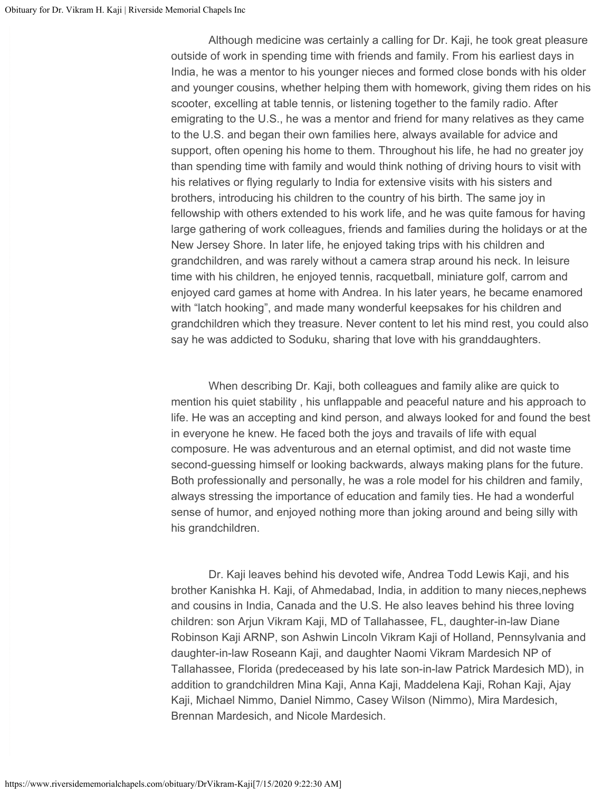Although medicine was certainly a calling for Dr. Kaji, he took great pleasure outside of work in spending time with friends and family. From his earliest days in India, he was a mentor to his younger nieces and formed close bonds with his older and younger cousins, whether helping them with homework, giving them rides on his scooter, excelling at table tennis, or listening together to the family radio. After emigrating to the U.S., he was a mentor and friend for many relatives as they came to the U.S. and began their own families here, always available for advice and support, often opening his home to them. Throughout his life, he had no greater joy than spending time with family and would think nothing of driving hours to visit with his relatives or flying regularly to India for extensive visits with his sisters and brothers, introducing his children to the country of his birth. The same joy in fellowship with others extended to his work life, and he was quite famous for having large gathering of work colleagues, friends and families during the holidays or at the New Jersey Shore. In later life, he enjoyed taking trips with his children and grandchildren, and was rarely without a camera strap around his neck. In leisure time with his children, he enjoyed tennis, racquetball, miniature golf, carrom and enjoyed card games at home with Andrea. In his later years, he became enamored with "latch hooking", and made many wonderful keepsakes for his children and grandchildren which they treasure. Never content to let his mind rest, you could also say he was addicted to Soduku, sharing that love with his granddaughters.

 When describing Dr. Kaji, both colleagues and family alike are quick to mention his quiet stability , his unflappable and peaceful nature and his approach to life. He was an accepting and kind person, and always looked for and found the best in everyone he knew. He faced both the joys and travails of life with equal composure. He was adventurous and an eternal optimist, and did not waste time second-guessing himself or looking backwards, always making plans for the future. Both professionally and personally, he was a role model for his children and family, always stressing the importance of education and family ties. He had a wonderful sense of humor, and enjoyed nothing more than joking around and being silly with his grandchildren.

 Dr. Kaji leaves behind his devoted wife, Andrea Todd Lewis Kaji, and his brother Kanishka H. Kaji, of Ahmedabad, India, in addition to many nieces,nephews and cousins in India, Canada and the U.S. He also leaves behind his three loving children: son Arjun Vikram Kaji, MD of Tallahassee, FL, daughter-in-law Diane Robinson Kaji ARNP, son Ashwin Lincoln Vikram Kaji of Holland, Pennsylvania and daughter-in-law Roseann Kaji, and daughter Naomi Vikram Mardesich NP of Tallahassee, Florida (predeceased by his late son-in-law Patrick Mardesich MD), in addition to grandchildren Mina Kaji, Anna Kaji, Maddelena Kaji, Rohan Kaji, Ajay Kaji, Michael Nimmo, Daniel Nimmo, Casey Wilson (Nimmo), Mira Mardesich, Brennan Mardesich, and Nicole Mardesich.